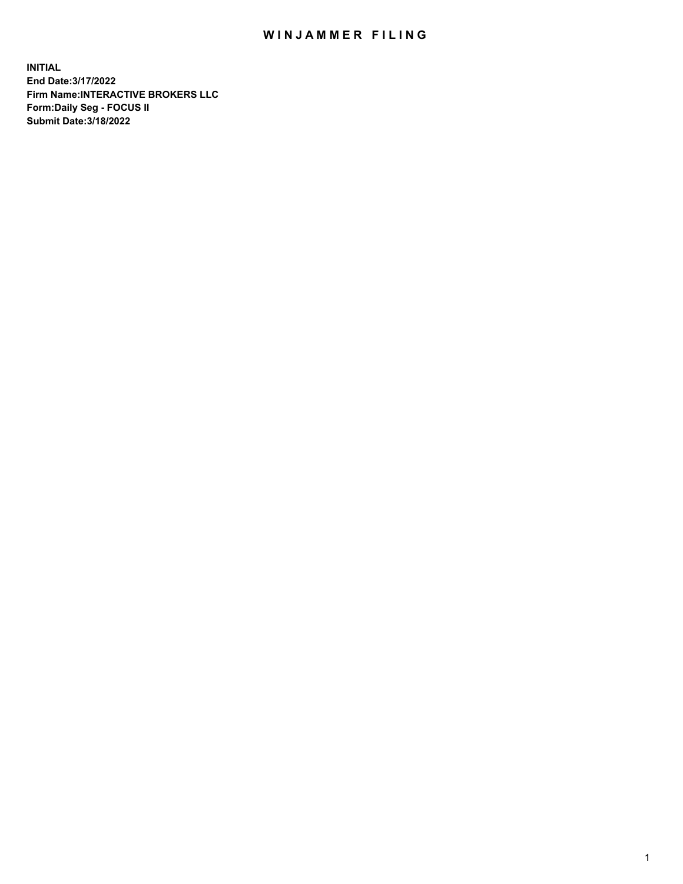## WIN JAMMER FILING

**INITIAL End Date:3/17/2022 Firm Name:INTERACTIVE BROKERS LLC Form:Daily Seg - FOCUS II Submit Date:3/18/2022**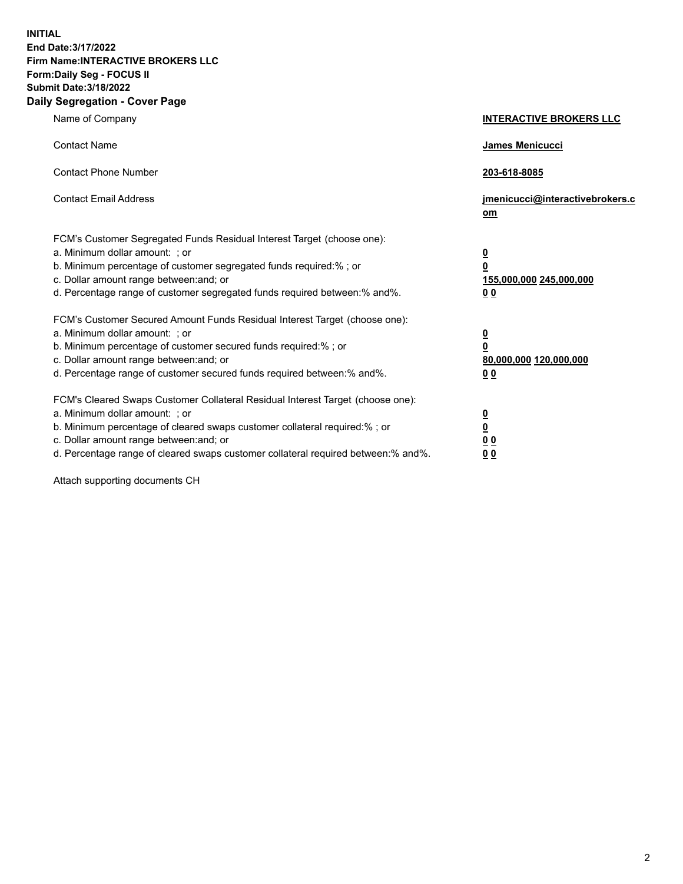**INITIAL End Date:3/17/2022 Firm Name:INTERACTIVE BROKERS LLC Form:Daily Seg - FOCUS II Submit Date:3/18/2022 Daily Segregation - Cover Page**

| Name of Company                                                                                                                                                                                                                                                                                                               | <b>INTERACTIVE BROKERS LLC</b>                                                                  |  |
|-------------------------------------------------------------------------------------------------------------------------------------------------------------------------------------------------------------------------------------------------------------------------------------------------------------------------------|-------------------------------------------------------------------------------------------------|--|
| <b>Contact Name</b>                                                                                                                                                                                                                                                                                                           | James Menicucci                                                                                 |  |
| <b>Contact Phone Number</b>                                                                                                                                                                                                                                                                                                   | 203-618-8085                                                                                    |  |
| <b>Contact Email Address</b>                                                                                                                                                                                                                                                                                                  | jmenicucci@interactivebrokers.c<br><u>om</u>                                                    |  |
| FCM's Customer Segregated Funds Residual Interest Target (choose one):<br>a. Minimum dollar amount: ; or<br>b. Minimum percentage of customer segregated funds required:% ; or<br>c. Dollar amount range between: and; or<br>d. Percentage range of customer segregated funds required between:% and%.                        | $\overline{\mathbf{0}}$<br>$\overline{\mathbf{0}}$<br>155,000,000 245,000,000<br>0 <sub>0</sub> |  |
| FCM's Customer Secured Amount Funds Residual Interest Target (choose one):<br>a. Minimum dollar amount: ; or<br>b. Minimum percentage of customer secured funds required:%; or<br>c. Dollar amount range between: and; or<br>d. Percentage range of customer secured funds required between:% and%.                           | $\overline{\mathbf{0}}$<br>$\overline{\mathbf{0}}$<br>80,000,000 120,000,000<br>0 <sub>0</sub>  |  |
| FCM's Cleared Swaps Customer Collateral Residual Interest Target (choose one):<br>a. Minimum dollar amount: ; or<br>b. Minimum percentage of cleared swaps customer collateral required:%; or<br>c. Dollar amount range between: and; or<br>d. Percentage range of cleared swaps customer collateral required between:% and%. | $\overline{\mathbf{0}}$<br>$\overline{\mathbf{0}}$<br>0 <sub>0</sub><br>0 <sub>0</sub>          |  |

Attach supporting documents CH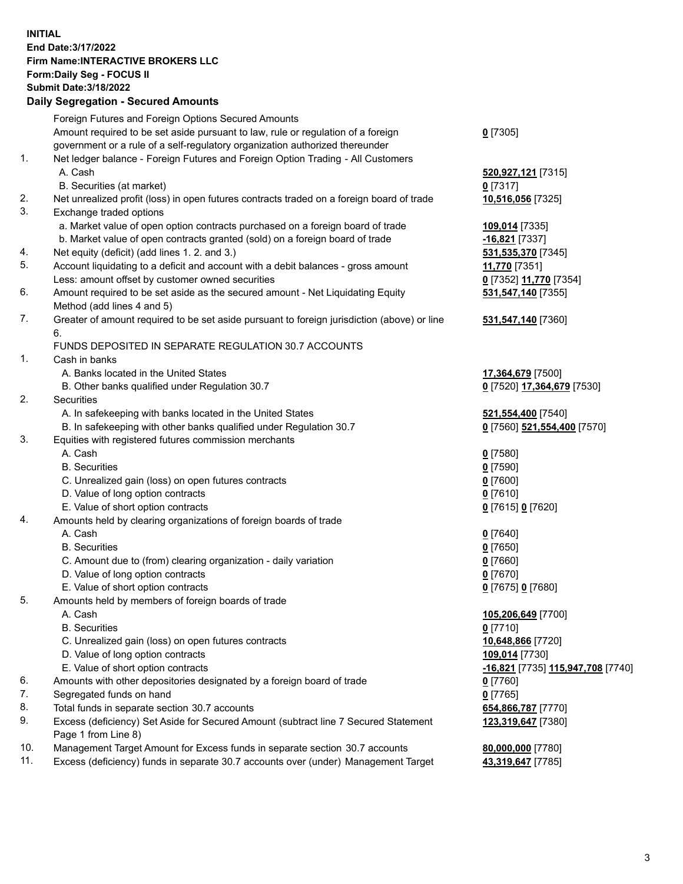**INITIAL End Date:3/17/2022 Firm Name:INTERACTIVE BROKERS LLC Form:Daily Seg - FOCUS II Submit Date:3/18/2022 Daily Segregation - Secured Amounts**

## Foreign Futures and Foreign Options Secured Amounts Amount required to be set aside pursuant to law, rule or regulation of a foreign government or a rule of a self-regulatory organization authorized thereunder **0** [7305] 1. Net ledger balance - Foreign Futures and Foreign Option Trading - All Customers A. Cash **520,927,121** [7315] B. Securities (at market) **0** [7317] 2. Net unrealized profit (loss) in open futures contracts traded on a foreign board of trade **10,516,056** [7325] 3. Exchange traded options a. Market value of open option contracts purchased on a foreign board of trade **109,014** [7335] b. Market value of open contracts granted (sold) on a foreign board of trade **-16,821** [7337] 4. Net equity (deficit) (add lines 1. 2. and 3.) **531,535,370** [7345] 5. Account liquidating to a deficit and account with a debit balances - gross amount **11,770** [7351] Less: amount offset by customer owned securities **0** [7352] **11,770** [7354] 6. Amount required to be set aside as the secured amount - Net Liquidating Equity Method (add lines 4 and 5) **531,547,140** [7355] 7. Greater of amount required to be set aside pursuant to foreign jurisdiction (above) or line 6. **531,547,140** [7360] FUNDS DEPOSITED IN SEPARATE REGULATION 30.7 ACCOUNTS 1. Cash in banks A. Banks located in the United States **17,364,679** [7500] B. Other banks qualified under Regulation 30.7 **0** [7520] **17,364,679** [7530] 2. Securities A. In safekeeping with banks located in the United States **521,554,400** [7540] B. In safekeeping with other banks qualified under Regulation 30.7 **0** [7560] **521,554,400** [7570] 3. Equities with registered futures commission merchants A. Cash **0** [7580] B. Securities **0** [7590] C. Unrealized gain (loss) on open futures contracts **0** [7600] D. Value of long option contracts **0** [7610] E. Value of short option contracts **0** [7615] **0** [7620] 4. Amounts held by clearing organizations of foreign boards of trade A. Cash **0** [7640] B. Securities **0** [7650] C. Amount due to (from) clearing organization - daily variation **0** [7660] D. Value of long option contracts **0** [7670] E. Value of short option contracts **0** [7675] **0** [7680] 5. Amounts held by members of foreign boards of trade A. Cash **105,206,649** [7700] B. Securities **0** [7710] C. Unrealized gain (loss) on open futures contracts **10,648,866** [7720] D. Value of long option contracts **109,014** [7730] E. Value of short option contracts **-16,821** [7735] **115,947,708** [7740] 6. Amounts with other depositories designated by a foreign board of trade **0** [7760] 7. Segregated funds on hand **0** [7765] 8. Total funds in separate section 30.7 accounts **654,866,787** [7770] 9. Excess (deficiency) Set Aside for Secured Amount (subtract line 7 Secured Statement Page 1 from Line 8) **123,319,647** [7380] 10. Management Target Amount for Excess funds in separate section 30.7 accounts **80,000,000** [7780] 11. Excess (deficiency) funds in separate 30.7 accounts over (under) Management Target **43,319,647** [7785]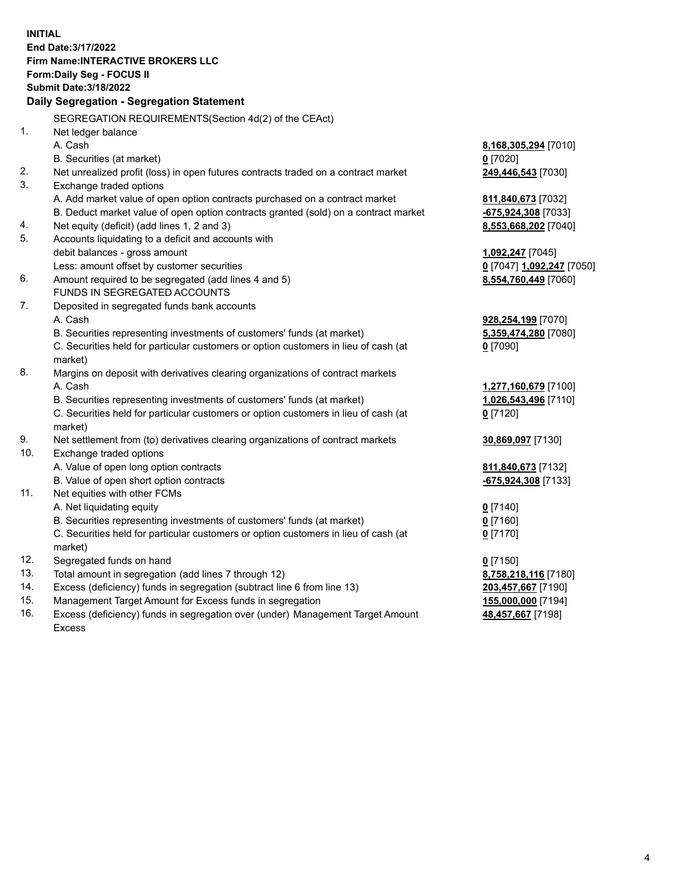**INITIAL End Date:3/17/2022 Firm Name:INTERACTIVE BROKERS LLC Form:Daily Seg - FOCUS II Submit Date:3/18/2022 Daily Segregation - Segregation Statement** SEGREGATION REQUIREMENTS(Section 4d(2) of the CEAct) 1. Net ledger balance A. Cash **8,168,305,294** [7010] B. Securities (at market) **0** [7020] 2. Net unrealized profit (loss) in open futures contracts traded on a contract market **249,446,543** [7030] 3. Exchange traded options A. Add market value of open option contracts purchased on a contract market **811,840,673** [7032] B. Deduct market value of open option contracts granted (sold) on a contract market **-675,924,308** [7033] 4. Net equity (deficit) (add lines 1, 2 and 3) **8,553,668,202** [7040] 5. Accounts liquidating to a deficit and accounts with debit balances - gross amount **1,092,247** [7045] Less: amount offset by customer securities **0** [7047] **1,092,247** [7050] 6. Amount required to be segregated (add lines 4 and 5) **8,554,760,449** [7060] FUNDS IN SEGREGATED ACCOUNTS 7. Deposited in segregated funds bank accounts A. Cash **928,254,199** [7070] B. Securities representing investments of customers' funds (at market) **5,359,474,280** [7080] C. Securities held for particular customers or option customers in lieu of cash (at market) **0** [7090] 8. Margins on deposit with derivatives clearing organizations of contract markets A. Cash **1,277,160,679** [7100] B. Securities representing investments of customers' funds (at market) **1,026,543,496** [7110] C. Securities held for particular customers or option customers in lieu of cash (at market) **0** [7120] 9. Net settlement from (to) derivatives clearing organizations of contract markets **30,869,097** [7130] 10. Exchange traded options A. Value of open long option contracts **811,840,673** [7132] B. Value of open short option contracts **-675,924,308** [7133] 11. Net equities with other FCMs A. Net liquidating equity **0** [7140] B. Securities representing investments of customers' funds (at market) **0** [7160] C. Securities held for particular customers or option customers in lieu of cash (at market) **0** [7170] 12. Segregated funds on hand **0** [7150] 13. Total amount in segregation (add lines 7 through 12) **8,758,218,116** [7180] 14. Excess (deficiency) funds in segregation (subtract line 6 from line 13) **203,457,667** [7190] 15. Management Target Amount for Excess funds in segregation **155,000,000** [7194] 16. Excess (deficiency) funds in segregation over (under) Management Target Amount **48,457,667** [7198]

Excess